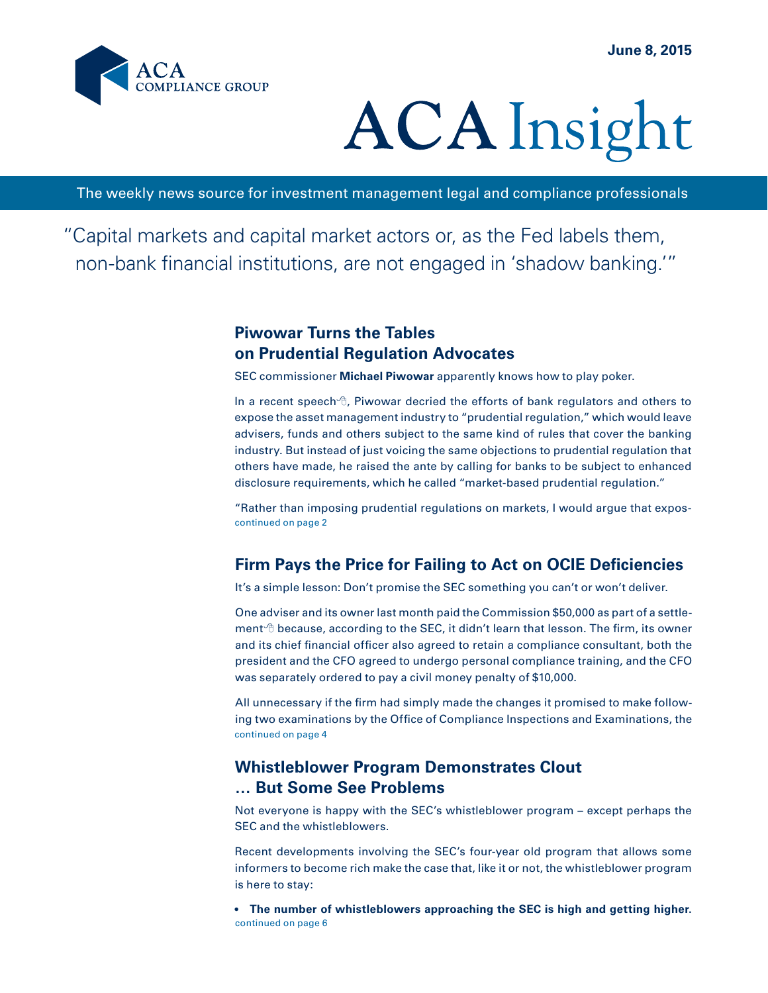

# **ACA** Insight

The weekly news source for investment management legal and compliance professionals

"Capital markets and capital market actors or, as the Fed labels them, non-bank financial institutions, are not engaged in 'shadow banking.'"

# **Piwowar Turns the Tables on Prudential Regulation Advocates**

SEC commissioner **Michael Piwowar** apparently knows how to play poker.

In a recent speech $\theta$ , Piwowar decried the efforts of bank regulators and others to expose the asset management industry to "prudential regulation," which would leave advisers, funds and others subject to the same kind of rules that cover the banking industry. But instead of just voicing the same objections to prudential regulation that others have made, he raised the ante by calling for banks to be subject to enhanced disclosure requirements, which he called "market-based prudential regulation."

continued on page 2 "Rather than imposing prudential regulations on markets, I would argue that expos-

# **Firm Pays the Price for Failing to Act on OCIE Deficiencies**

It's a simple lesson: Don't promise the SEC something you can't or won't deliver.

One adviser and its owner last month paid the Commission \$50,000 as part of a settlement  $\theta$  because, according to the SEC, it didn't learn that lesson. The firm, its owner and its chief financial officer also agreed to retain a compliance consultant, both the president and the CFO agreed to undergo personal compliance training, and the CFO was separately ordered to pay a civil money penalty of \$10,000.

continued on page 4 All unnecessary if the firm had simply made the changes it promised to make following two examinations by the Office of Compliance Inspections and Examinations, the

## **Whistleblower Program Demonstrates Clout … But Some See Problems**

Not everyone is happy with the SEC's whistleblower program – except perhaps the SEC and the whistleblowers.

Recent developments involving the SEC's four-year old program that allows some informers to become rich make the case that, like it or not, the whistleblower program is here to stay:

continued on page 6 **• The number of whistleblowers approaching the SEC is high and getting higher.**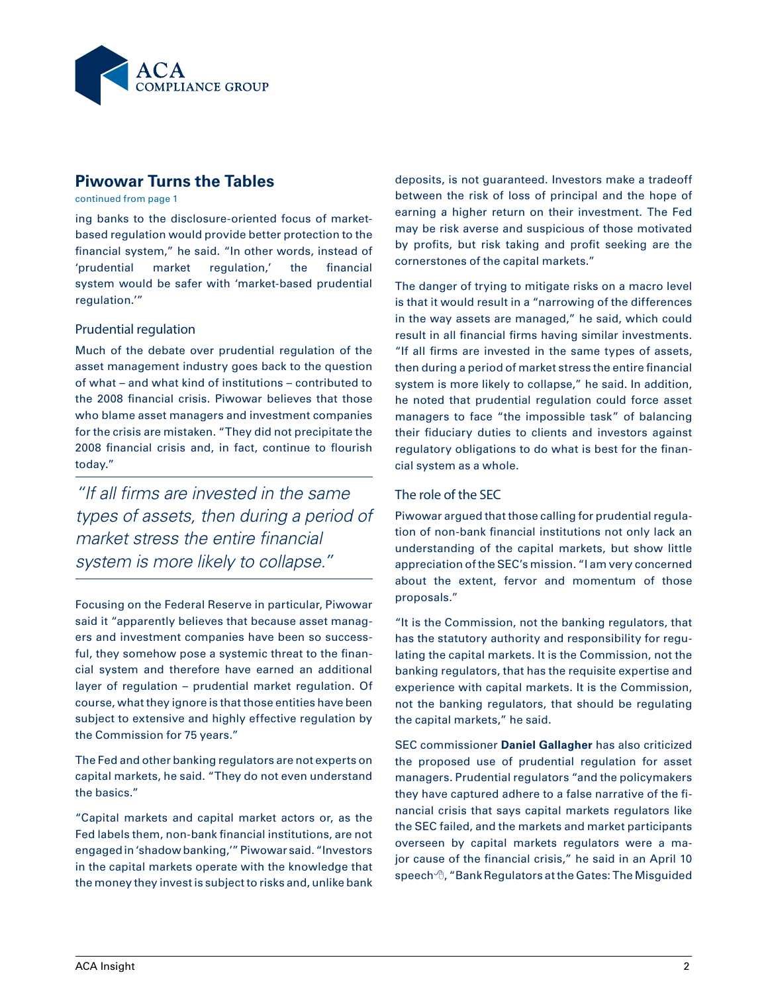

# **Piwowar Turns the Tables**

continued from page 1

ing banks to the disclosure-oriented focus of marketbased regulation would provide better protection to the financial system," he said. "In other words, instead of 'prudential market regulation,' the financial system would be safer with 'market-based prudential regulation.'"

#### Prudential regulation

Much of the debate over prudential regulation of the asset management industry goes back to the question of what – and what kind of institutions – contributed to the 2008 financial crisis. Piwowar believes that those who blame asset managers and investment companies for the crisis are mistaken. "They did not precipitate the 2008 financial crisis and, in fact, continue to flourish today."

*"If all firms are invested in the same types of assets, then during a period of market stress the entire financial system is more likely to collapse."*

Focusing on the Federal Reserve in particular, Piwowar said it "apparently believes that because asset managers and investment companies have been so successful, they somehow pose a systemic threat to the financial system and therefore have earned an additional layer of regulation – prudential market regulation. Of course, what they ignore is that those entities have been subject to extensive and highly effective regulation by the Commission for 75 years."

The Fed and other banking regulators are not experts on capital markets, he said. "They do not even understand the basics."

"Capital markets and capital market actors or, as the Fed labels them, non-bank financial institutions, are not engaged in 'shadow banking,'" Piwowar said. "Investors in the capital markets operate with the knowledge that the money they invest is subject to risks and, unlike bank deposits, is not guaranteed. Investors make a tradeoff between the risk of loss of principal and the hope of earning a higher return on their investment. The Fed may be risk averse and suspicious of those motivated by profits, but risk taking and profit seeking are the cornerstones of the capital markets."

The danger of trying to mitigate risks on a macro level is that it would result in a "narrowing of the differences in the way assets are managed," he said, which could result in all financial firms having similar investments. "If all firms are invested in the same types of assets, then during a period of market stress the entire financial system is more likely to collapse," he said. In addition, he noted that prudential regulation could force asset managers to face "the impossible task" of balancing their fiduciary duties to clients and investors against regulatory obligations to do what is best for the financial system as a whole.

#### The role of the SEC

Piwowar argued that those calling for prudential regulation of non-bank financial institutions not only lack an understanding of the capital markets, but show little appreciation of the SEC's mission. "I am very concerned about the extent, fervor and momentum of those proposals."

"It is the Commission, not the banking regulators, that has the statutory authority and responsibility for regulating the capital markets. It is the Commission, not the banking regulators, that has the requisite expertise and experience with capital markets. It is the Commission, not the banking regulators, that should be regulating the capital markets," he said.

SEC commissioner **Daniel Gallagher** has also criticized the proposed use of prudential regulation for asset managers. Prudential regulators "and the policymakers they have captured adhere to a false narrative of the financial crisis that says capital markets regulators like the SEC failed, and the markets and market participants overseen by capital markets regulators were a major cause of the financial crisis," he said in an April 10 speech  $\theta$ , "Bank Regulators at the Gates: The Misguided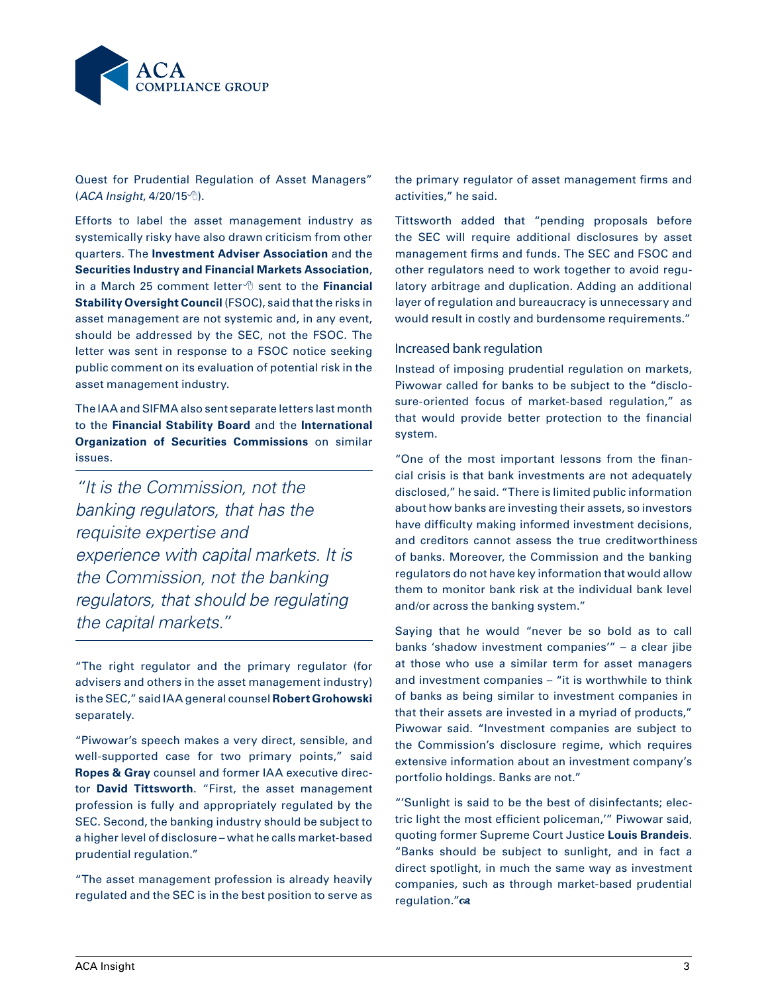

Quest for Prudential Regulation of Asset Managers" (ACA Insight, 4/20/15<sup></sup>).

Efforts to label the asset management industry as systemically risky have also drawn criticism from other quarters. The **Investment Adviser Association** and the **Securities Industry and Financial Markets Association**, in a March 25 comment letter<sup>®</sup> sent to the Financial **Stability Oversight Council** (FSOC), said that the risks in asset management are not systemic and, in any event, should be addressed by the SEC, not the FSOC. The letter was sent in response to a FSOC notice seeking public comment on its evaluation of potential risk in the asset management industry.

The IAA and SIFMA also sent separate letters last month to the **Financial Stability Board** and the **International Organization of Securities Commissions** on similar issues.

*"It is the Commission, not the banking regulators, that has the requisite expertise and experience with capital markets. It is the Commission, not the banking regulators, that should be regulating the capital markets."*

"The right regulator and the primary regulator (for advisers and others in the asset management industry) is the SEC," said IAA general counsel **Robert Grohowski**  separately.

"Piwowar's speech makes a very direct, sensible, and well-supported case for two primary points," said **Ropes & Gray** counsel and former IAA executive director **David Tittsworth**. "First, the asset management profession is fully and appropriately regulated by the SEC. Second, the banking industry should be subject to a higher level of disclosure – what he calls market-based prudential regulation."

"The asset management profession is already heavily regulated and the SEC is in the best position to serve as

the primary regulator of asset management firms and activities," he said.

Tittsworth added that "pending proposals before the SEC will require additional disclosures by asset management firms and funds. The SEC and FSOC and other regulators need to work together to avoid regulatory arbitrage and duplication. Adding an additional layer of regulation and bureaucracy is unnecessary and would result in costly and burdensome requirements."

#### Increased bank regulation

Instead of imposing prudential regulation on markets, Piwowar called for banks to be subject to the "disclosure-oriented focus of market-based regulation," as that would provide better protection to the financial system.

"One of the most important lessons from the financial crisis is that bank investments are not adequately disclosed," he said. "There is limited public information about how banks are investing their assets, so investors have difficulty making informed investment decisions, and creditors cannot assess the true creditworthiness of banks. Moreover, the Commission and the banking regulators do not have key information that would allow them to monitor bank risk at the individual bank level and/or across the banking system."

Saying that he would "never be so bold as to call banks 'shadow investment companies'" – a clear jibe at those who use a similar term for asset managers and investment companies – "it is worthwhile to think of banks as being similar to investment companies in that their assets are invested in a myriad of products," Piwowar said. "Investment companies are subject to the Commission's disclosure regime, which requires extensive information about an investment company's portfolio holdings. Banks are not."

"'Sunlight is said to be the best of disinfectants; electric light the most efficient policeman,'" Piwowar said, quoting former Supreme Court Justice **Louis Brandeis**. "Banks should be subject to sunlight, and in fact a direct spotlight, in much the same way as investment companies, such as through market-based prudential regulation." $\infty$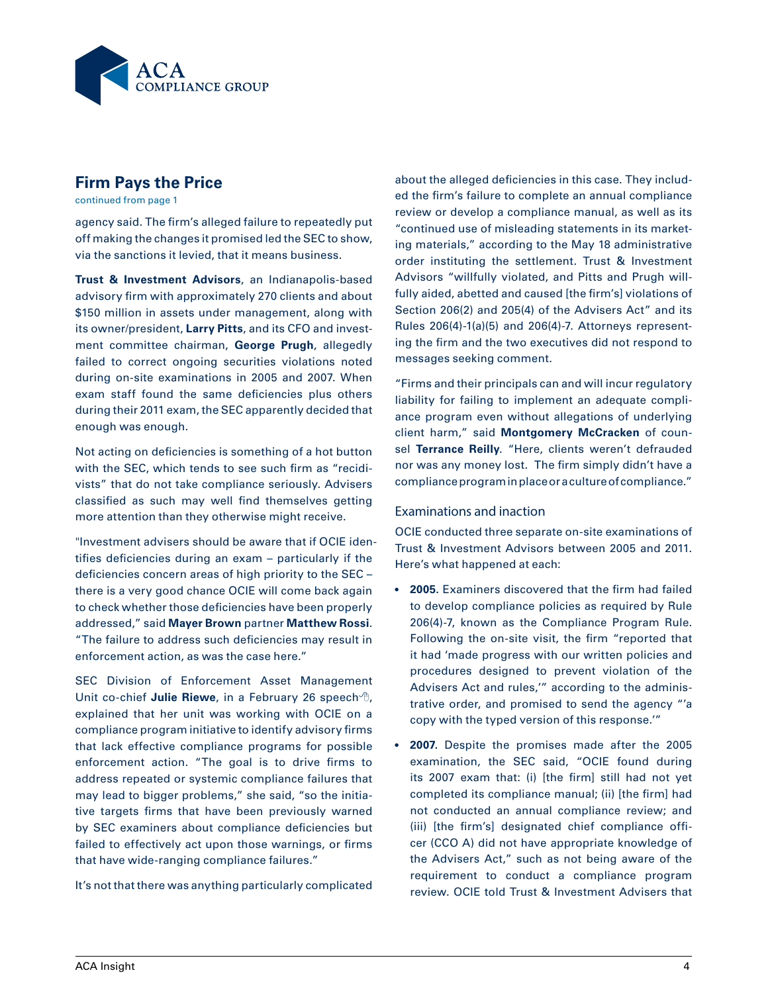

### **Firm Pays the Price**

continued from page 1

agency said. The firm's alleged failure to repeatedly put off making the changes it promised led the SEC to show, via the sanctions it levied, that it means business.

**Trust & Investment Advisors**, an Indianapolis-based advisory firm with approximately 270 clients and about \$150 million in assets under management, along with its owner/president, **Larry Pitts**, and its CFO and investment committee chairman, **George Prugh**, allegedly failed to correct ongoing securities violations noted during on-site examinations in 2005 and 2007. When exam staff found the same deficiencies plus others during their 2011 exam, the SEC apparently decided that enough was enough.

Not acting on deficiencies is something of a hot button with the SEC, which tends to see such firm as "recidivists" that do not take compliance seriously. Advisers classified as such may well find themselves getting more attention than they otherwise might receive.

"Investment advisers should be aware that if OCIE identifies deficiencies during an exam – particularly if the deficiencies concern areas of high priority to the SEC – there is a very good chance OCIE will come back again to check whether those deficiencies have been properly addressed," said **Mayer Brown** partner **Matthew Rossi**. "The failure to address such deficiencies may result in enforcement action, as was the case here."

SEC Division of Enforcement Asset Management Unit co-chief **Julie Riewe**, in a February 26 speech  $\theta$ , explained that her unit was working with OCIE on a compliance program initiative to identify advisory firms that lack effective compliance programs for possible enforcement action. "The goal is to drive firms to address repeated or systemic compliance failures that may lead to bigger problems," she said, "so the initiative targets firms that have been previously warned by SEC examiners about compliance deficiencies but failed to effectively act upon those warnings, or firms that have wide-ranging compliance failures."

It's not that there was anything particularly complicated

about the alleged deficiencies in this case. They included the firm's failure to complete an annual compliance review or develop a compliance manual, as well as its "continued use of misleading statements in its marketing materials," according to the May 18 administrative order instituting the settlement. Trust & Investment Advisors "willfully violated, and Pitts and Prugh willfully aided, abetted and caused [the firm's] violations of Section 206(2) and 205(4) of the Advisers Act" and its Rules 206(4)-1(a)(5) and 206(4)-7. Attorneys representing the firm and the two executives did not respond to messages seeking comment.

"Firms and their principals can and will incur regulatory liability for failing to implement an adequate compliance program even without allegations of underlying client harm," said **Montgomery McCracken** of counsel **Terrance Reilly**. "Here, clients weren't defrauded nor was any money lost. The firm simply didn't have a compliance program in place or a culture of compliance."

#### Examinations and inaction

OCIE conducted three separate on-site examinations of Trust & Investment Advisors between 2005 and 2011. Here's what happened at each:

- **• 2005.** Examiners discovered that the firm had failed to develop compliance policies as required by Rule 206(4)-7, known as the Compliance Program Rule. Following the on-site visit, the firm "reported that it had 'made progress with our written policies and procedures designed to prevent violation of the Advisers Act and rules,'" according to the administrative order, and promised to send the agency "'a copy with the typed version of this response.'"
- **• 2007.** Despite the promises made after the 2005 examination, the SEC said, "OCIE found during its 2007 exam that: (i) [the firm] still had not yet completed its compliance manual; (ii) [the firm] had not conducted an annual compliance review; and (iii) [the firm's] designated chief compliance officer (CCO A) did not have appropriate knowledge of the Advisers Act," such as not being aware of the requirement to conduct a compliance program review. OCIE told Trust & Investment Advisers that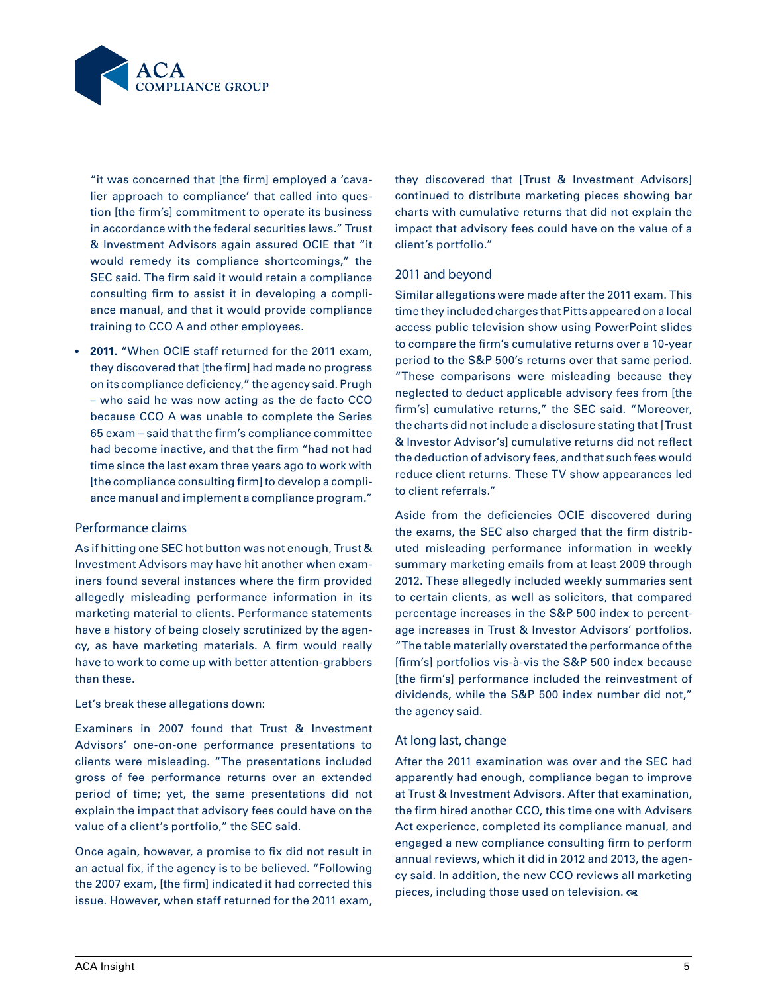

"it was concerned that [the firm] employed a 'cavalier approach to compliance' that called into question [the firm's] commitment to operate its business in accordance with the federal securities laws." Trust & Investment Advisors again assured OCIE that "it would remedy its compliance shortcomings," the SEC said. The firm said it would retain a compliance consulting firm to assist it in developing a compliance manual, and that it would provide compliance training to CCO A and other employees.

**• 2011.** "When OCIE staff returned for the 2011 exam, they discovered that [the firm] had made no progress on its compliance deficiency," the agency said. Prugh – who said he was now acting as the de facto CCO because CCO A was unable to complete the Series 65 exam – said that the firm's compliance committee had become inactive, and that the firm "had not had time since the last exam three years ago to work with [the compliance consulting firm] to develop a compliance manual and implement a compliance program."

#### Performance claims

As if hitting one SEC hot button was not enough, Trust & Investment Advisors may have hit another when examiners found several instances where the firm provided allegedly misleading performance information in its marketing material to clients. Performance statements have a history of being closely scrutinized by the agency, as have marketing materials. A firm would really have to work to come up with better attention-grabbers than these.

#### Let's break these allegations down:

Examiners in 2007 found that Trust & Investment Advisors' one-on-one performance presentations to clients were misleading. "The presentations included gross of fee performance returns over an extended period of time; yet, the same presentations did not explain the impact that advisory fees could have on the value of a client's portfolio," the SEC said.

Once again, however, a promise to fix did not result in an actual fix, if the agency is to be believed. "Following the 2007 exam, [the firm] indicated it had corrected this issue. However, when staff returned for the 2011 exam,

they discovered that [Trust & Investment Advisors] continued to distribute marketing pieces showing bar charts with cumulative returns that did not explain the impact that advisory fees could have on the value of a client's portfolio."

#### 2011 and beyond

Similar allegations were made after the 2011 exam. This time they included charges that Pitts appeared on a local access public television show using PowerPoint slides to compare the firm's cumulative returns over a 10-year period to the S&P 500's returns over that same period. "These comparisons were misleading because they neglected to deduct applicable advisory fees from [the firm's] cumulative returns," the SEC said. "Moreover, the charts did not include a disclosure stating that [Trust & Investor Advisor's] cumulative returns did not reflect the deduction of advisory fees, and that such fees would reduce client returns. These TV show appearances led to client referrals."

Aside from the deficiencies OCIE discovered during the exams, the SEC also charged that the firm distributed misleading performance information in weekly summary marketing emails from at least 2009 through 2012. These allegedly included weekly summaries sent to certain clients, as well as solicitors, that compared percentage increases in the S&P 500 index to percentage increases in Trust & Investor Advisors' portfolios. "The table materially overstated the performance of the [firm's] portfolios vis-à-vis the S&P 500 index because [the firm's] performance included the reinvestment of dividends, while the S&P 500 index number did not," the agency said.

#### At long last, change

After the 2011 examination was over and the SEC had apparently had enough, compliance began to improve at Trust & Investment Advisors. After that examination, the firm hired another CCO, this time one with Advisers Act experience, completed its compliance manual, and engaged a new compliance consulting firm to perform annual reviews, which it did in 2012 and 2013, the agency said. In addition, the new CCO reviews all marketing pieces, including those used on television.  $\infty$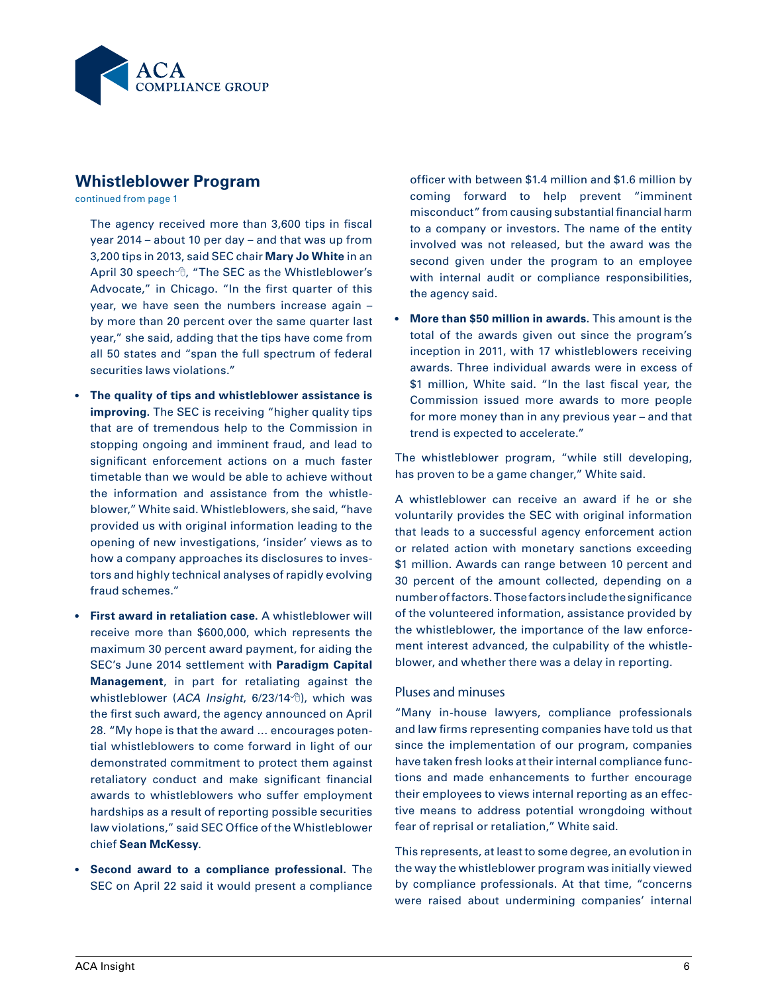

# **Whistleblower Program**

continued from page 1

The agency received more than 3,600 tips in fiscal year 2014 – about 10 per day – and that was up from 3,200 tips in 2013, said SEC chair **Mary Jo White** in an April 30 speech  $\theta$ , "The SEC as the Whistleblower's Advocate," in Chicago. "In the first quarter of this year, we have seen the numbers increase again – by more than 20 percent over the same quarter last year," she said, adding that the tips have come from all 50 states and "span the full spectrum of federal securities laws violations."

- **• The quality of tips and whistleblower assistance is improving.** The SEC is receiving "higher quality tips that are of tremendous help to the Commission in stopping ongoing and imminent fraud, and lead to significant enforcement actions on a much faster timetable than we would be able to achieve without the information and assistance from the whistleblower," White said. Whistleblowers, she said, "have provided us with original information leading to the opening of new investigations, 'insider' views as to how a company approaches its disclosures to investors and highly technical analyses of rapidly evolving fraud schemes."
- **• First award in retaliation case.** A whistleblower will receive more than \$600,000, which represents the maximum 30 percent award payment, for aiding the SEC's June 2014 settlement with **Paradigm Capital Management**, in part for retaliating against the whistleblower (ACA Insight, 6/23/14<sup>th</sup>), which was the first such award, the agency announced on April 28. "My hope is that the award … encourages potential whistleblowers to come forward in light of our demonstrated commitment to protect them against retaliatory conduct and make significant financial awards to whistleblowers who suffer employment hardships as a result of reporting possible securities law violations," said SEC Office of the Whistleblower chief **Sean McKessy**.
- **• Second award to a compliance professional.** The SEC on April 22 said it would present a compliance

officer with between \$1.4 million and \$1.6 million by coming forward to help prevent "imminent misconduct" from causing substantial financial harm to a company or investors. The name of the entity involved was not released, but the award was the second given under the program to an employee with internal audit or compliance responsibilities, the agency said.

**More than \$50 million in awards.** This amount is the total of the awards given out since the program's inception in 2011, with 17 whistleblowers receiving awards. Three individual awards were in excess of \$1 million, White said. "In the last fiscal year, the Commission issued more awards to more people for more money than in any previous year – and that trend is expected to accelerate."

The whistleblower program, "while still developing, has proven to be a game changer," White said.

A whistleblower can receive an award if he or she voluntarily provides the SEC with original information that leads to a successful agency enforcement action or related action with monetary sanctions exceeding \$1 million. Awards can range between 10 percent and 30 percent of the amount collected, depending on a number of factors. Those factors include the significance of the volunteered information, assistance provided by the whistleblower, the importance of the law enforcement interest advanced, the culpability of the whistleblower, and whether there was a delay in reporting.

#### Pluses and minuses

"Many in-house lawyers, compliance professionals and law firms representing companies have told us that since the implementation of our program, companies have taken fresh looks at their internal compliance functions and made enhancements to further encourage their employees to views internal reporting as an effective means to address potential wrongdoing without fear of reprisal or retaliation," White said.

This represents, at least to some degree, an evolution in the way the whistleblower program was initially viewed by compliance professionals. At that time, "concerns were raised about undermining companies' internal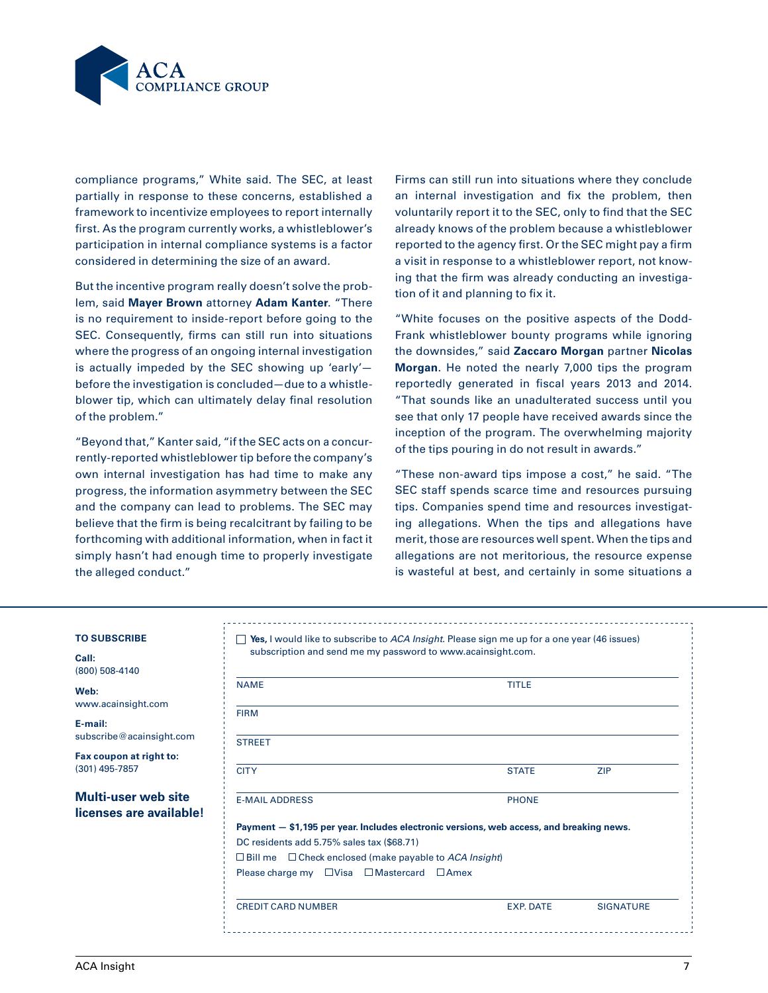

compliance programs," White said. The SEC, at least partially in response to these concerns, established a framework to incentivize employees to report internally first. As the program currently works, a whistleblower's participation in internal compliance systems is a factor considered in determining the size of an award.

But the incentive program really doesn't solve the problem, said **Mayer Brown** attorney **Adam Kanter**. "There is no requirement to inside-report before going to the SEC. Consequently, firms can still run into situations where the progress of an ongoing internal investigation is actually impeded by the SEC showing up 'early' before the investigation is concluded—due to a whistleblower tip, which can ultimately delay final resolution of the problem."

"Beyond that," Kanter said, "if the SEC acts on a concurrently-reported whistleblower tip before the company's own internal investigation has had time to make any progress, the information asymmetry between the SEC and the company can lead to problems. The SEC may believe that the firm is being recalcitrant by failing to be forthcoming with additional information, when in fact it simply hasn't had enough time to properly investigate the alleged conduct."

Firms can still run into situations where they conclude an internal investigation and fix the problem, then voluntarily report it to the SEC, only to find that the SEC already knows of the problem because a whistleblower reported to the agency first. Or the SEC might pay a firm a visit in response to a whistleblower report, not knowing that the firm was already conducting an investigation of it and planning to fix it.

"White focuses on the positive aspects of the Dodd-Frank whistleblower bounty programs while ignoring the downsides," said **Zaccaro Morgan** partner **Nicolas Morgan**. He noted the nearly 7,000 tips the program reportedly generated in fiscal years 2013 and 2014. "That sounds like an unadulterated success until you see that only 17 people have received awards since the inception of the program. The overwhelming majority of the tips pouring in do not result in awards."

"These non-award tips impose a cost," he said. "The SEC staff spends scarce time and resources pursuing tips. Companies spend time and resources investigating allegations. When the tips and allegations have merit, those are resources well spent. When the tips and allegations are not meritorious, the resource expense is wasteful at best, and certainly in some situations a

#### **To Subscribe**

**Call:** (800) 508-4140

**Web:** www.acainsight.com

**E-mail:** subscribe@acainsight.com

**Fax coupon at right to:** (301) 495-7857

#### **Multi-user web site licenses are available!**

| <b>NAME</b>                                                                              | <b>TITLE</b> |            |
|------------------------------------------------------------------------------------------|--------------|------------|
| <b>FIRM</b>                                                                              |              |            |
| <b>STREET</b>                                                                            |              |            |
| <b>CITY</b>                                                                              | <b>STATE</b> | <b>ZIP</b> |
| <b>E-MAIL ADDRESS</b>                                                                    | <b>PHONE</b> |            |
| Payment - \$1,195 per year. Includes electronic versions, web access, and breaking news. |              |            |
| DC residents add 5.75% sales tax (\$68.71)                                               |              |            |
| $\Box$ Bill me $\Box$ Check enclosed (make payable to ACA Insight)                       |              |            |
| Please charge my $\Box$ Visa $\Box$ Mastercard $\Box$ Amex                               |              |            |
|                                                                                          |              |            |